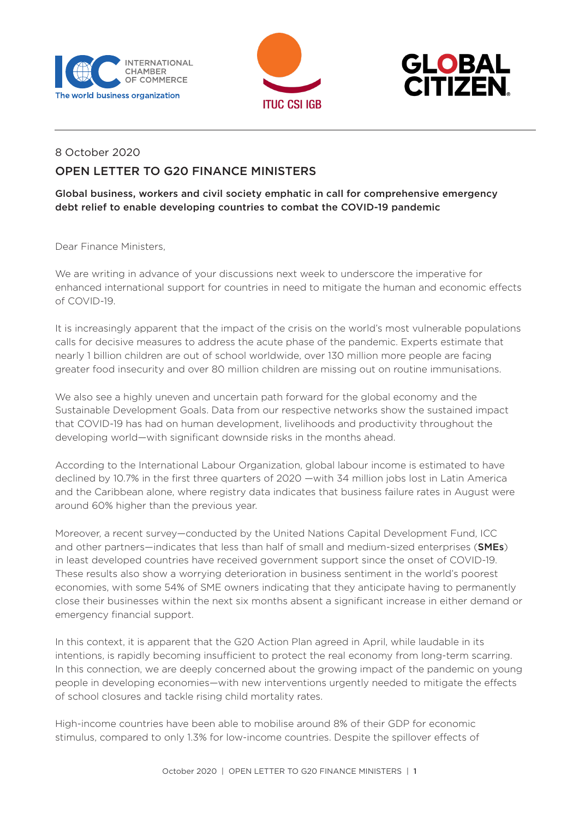





## 8 October 2020

## OPEN LETTER TO G20 FINANCE MINISTERS

Global business, workers and civil society emphatic in call for comprehensive emergency debt relief to enable developing countries to combat the COVID-19 pandemic

Dear Finance Ministers,

We are writing in advance of your discussions next week to underscore the imperative for enhanced international support for countries in need to mitigate the human and economic effects of COVID-19.

It is increasingly apparent that the impact of the crisis on the world's most vulnerable populations calls for decisive measures to address the acute phase of the pandemic. Experts estimate that nearly 1 billion children are out of school worldwide, over 130 million more people are facing greater food insecurity and over 80 million children are missing out on routine immunisations.

We also see a highly uneven and uncertain path forward for the global economy and the Sustainable Development Goals. Data from our respective networks show the sustained impact that COVID-19 has had on human development, livelihoods and productivity throughout the developing world—with significant downside risks in the months ahead.

According to the International Labour Organization, global labour income is estimated to have declined by 10.7% in the first three quarters of 2020 —with 34 million jobs lost in Latin America and the Caribbean alone, where registry data indicates that business failure rates in August were around 60% higher than the previous year.

Moreover, a recent survey—conducted by the United Nations Capital Development Fund, ICC and other partners—indicates that less than half of small and medium-sized enterprises (SMEs) in least developed countries have received government support since the onset of COVID-19. These results also show a worrying deterioration in business sentiment in the world's poorest economies, with some 54% of SME owners indicating that they anticipate having to permanently close their businesses within the next six months absent a significant increase in either demand or emergency financial support.

In this context, it is apparent that the G20 Action Plan agreed in April, while laudable in its intentions, is rapidly becoming insufficient to protect the real economy from long-term scarring. In this connection, we are deeply concerned about the growing impact of the pandemic on young people in developing economies—with new interventions urgently needed to mitigate the effects of school closures and tackle rising child mortality rates.

High-income countries have been able to mobilise around 8% of their GDP for economic stimulus, compared to only 1.3% for low-income countries. Despite the spillover effects of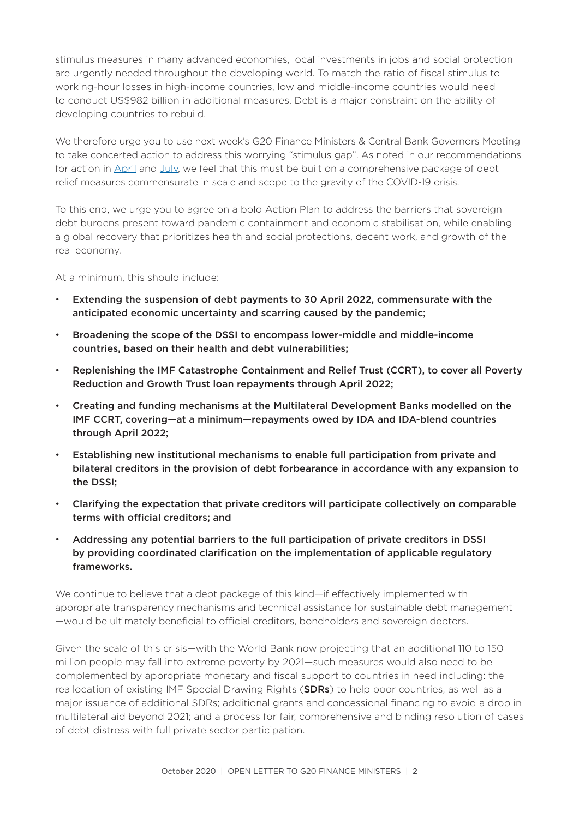stimulus measures in many advanced economies, local investments in jobs and social protection are urgently needed throughout the developing world. To match the ratio of fiscal stimulus to working-hour losses in high-income countries, low and middle-income countries would need to conduct US\$982 billion in additional measures. Debt is a major constraint on the ability of developing countries to rebuild.

We therefore urge you to use next week's G20 Finance Ministers & Central Bank Governors Meeting to take concerted action to address this worrying "stimulus gap". As noted in our recommendations for action in [April](https://iccwbo.org/content/uploads/sites/3/2020/04/covid19-debt-letter-finance-ministers-eng-2.pdf) and [July,](https://iccwbo.org/content/uploads/sites/3/2020/07/2020-open-letter-2-finance-ministers-final.pdf) we feel that this must be built on a comprehensive package of debt relief measures commensurate in scale and scope to the gravity of the COVID-19 crisis.

To this end, we urge you to agree on a bold Action Plan to address the barriers that sovereign debt burdens present toward pandemic containment and economic stabilisation, while enabling a global recovery that prioritizes health and social protections, decent work, and growth of the real economy.

At a minimum, this should include:

- Extending the suspension of debt payments to 30 April 2022, commensurate with the anticipated economic uncertainty and scarring caused by the pandemic;
- Broadening the scope of the DSSI to encompass lower-middle and middle-income countries, based on their health and debt vulnerabilities;
- Replenishing the IMF Catastrophe Containment and Relief Trust (CCRT), to cover all Poverty Reduction and Growth Trust loan repayments through April 2022;
- Creating and funding mechanisms at the Multilateral Development Banks modelled on the IMF CCRT, covering—at a minimum—repayments owed by IDA and IDA-blend countries through April 2022;
- Establishing new institutional mechanisms to enable full participation from private and bilateral creditors in the provision of debt forbearance in accordance with any expansion to the DSSI;
- Clarifying the expectation that private creditors will participate collectively on comparable terms with official creditors; and
- Addressing any potential barriers to the full participation of private creditors in DSSI by providing coordinated clarification on the implementation of applicable regulatory frameworks.

We continue to believe that a debt package of this kind—if effectively implemented with appropriate transparency mechanisms and technical assistance for sustainable debt management —would be ultimately beneficial to official creditors, bondholders and sovereign debtors.

Given the scale of this crisis—with the World Bank now projecting that an additional 110 to 150 million people may fall into extreme poverty by 2021—such measures would also need to be complemented by appropriate monetary and fiscal support to countries in need including: the reallocation of existing IMF Special Drawing Rights (**SDRs**) to help poor countries, as well as a major issuance of additional SDRs; additional grants and concessional financing to avoid a drop in multilateral aid beyond 2021; and a process for fair, comprehensive and binding resolution of cases of debt distress with full private sector participation.